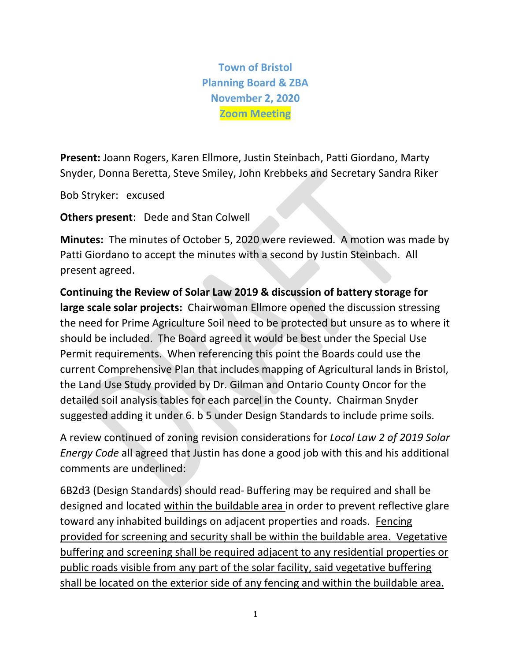**Town of Bristol Planning Board & ZBA November 2, 2020 Zoom Meeting**

**Present:** Joann Rogers, Karen Ellmore, Justin Steinbach, Patti Giordano, Marty Snyder, Donna Beretta, Steve Smiley, John Krebbeks and Secretary Sandra Riker

Bob Stryker: excused

**Others present**: Dede and Stan Colwell

**Minutes:** The minutes of October 5, 2020 were reviewed. A motion was made by Patti Giordano to accept the minutes with a second by Justin Steinbach. All present agreed.

**Continuing the Review of Solar Law 2019 & discussion of battery storage for large scale solar projects:** Chairwoman Ellmore opened the discussion stressing the need for Prime Agriculture Soil need to be protected but unsure as to where it should be included. The Board agreed it would be best under the Special Use Permit requirements. When referencing this point the Boards could use the current Comprehensive Plan that includes mapping of Agricultural lands in Bristol, the Land Use Study provided by Dr. Gilman and Ontario County Oncor for the detailed soil analysis tables for each parcel in the County. Chairman Snyder suggested adding it under 6. b 5 under Design Standards to include prime soils.

A review continued of zoning revision considerations for *Local Law 2 of 2019 Solar Energy Code* all agreed that Justin has done a good job with this and his additional comments are underlined:

6B2d3 (Design Standards) should read- Buffering may be required and shall be designed and located within the buildable area in order to prevent reflective glare toward any inhabited buildings on adjacent properties and roads. Fencing provided for screening and security shall be within the buildable area. Vegetative buffering and screening shall be required adjacent to any residential properties or public roads visible from any part of the solar facility, said vegetative buffering shall be located on the exterior side of any fencing and within the buildable area.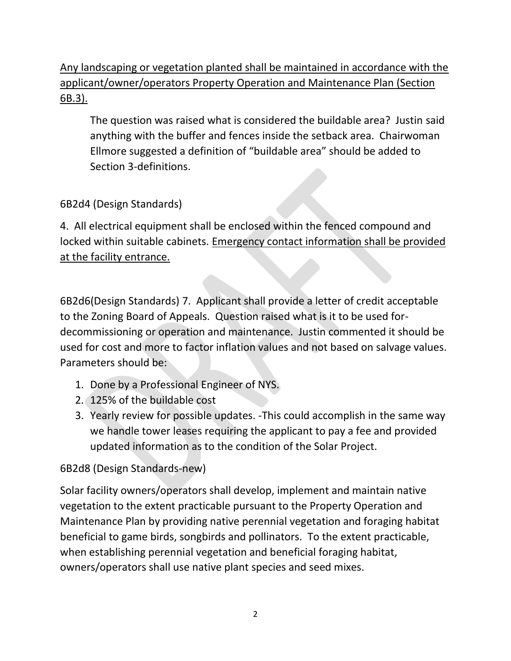Any landscaping or vegetation planted shall be maintained in accordance with the applicant/owner/operators Property Operation and Maintenance Plan (Section 6B.3).

The question was raised what is considered the buildable area? Justin said anything with the buffer and fences inside the setback area. Chairwoman Ellmore suggested a definition of "buildable area" should be added to Section 3-definitions.

# 6B2d4 (Design Standards)

4. All electrical equipment shall be enclosed within the fenced compound and locked within suitable cabinets. Emergency contact information shall be provided at the facility entrance.

6B2d6(Design Standards) 7. Applicant shall provide a letter of credit acceptable to the Zoning Board of Appeals. Question raised what is it to be used fordecommissioning or operation and maintenance. Justin commented it should be used for cost and more to factor inflation values and not based on salvage values. Parameters should be:

- 1. Done by a Professional Engineer of NYS.
- 2. 125% of the buildable cost
- 3. Yearly review for possible updates. -This could accomplish in the same way we handle tower leases requiring the applicant to pay a fee and provided updated information as to the condition of the Solar Project.

## 6B2d8 (Design Standards-new)

Solar facility owners/operators shall develop, implement and maintain native vegetation to the extent practicable pursuant to the Property Operation and Maintenance Plan by providing native perennial vegetation and foraging habitat beneficial to game birds, songbirds and pollinators. To the extent practicable, when establishing perennial vegetation and beneficial foraging habitat, owners/operators shall use native plant species and seed mixes.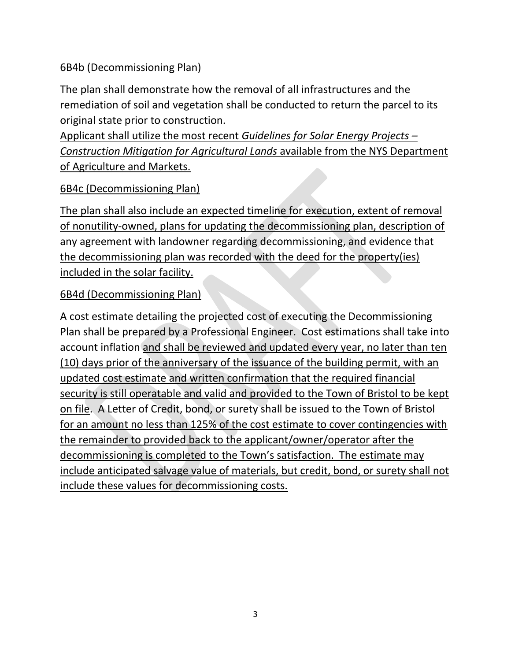6B4b (Decommissioning Plan)

The plan shall demonstrate how the removal of all infrastructures and the remediation of soil and vegetation shall be conducted to return the parcel to its original state prior to construction.

Applicant shall utilize the most recent *Guidelines for Solar Energy Projects – Construction Mitigation for Agricultural Lands* available from the NYS Department of Agriculture and Markets.

## 6B4c (Decommissioning Plan)

The plan shall also include an expected timeline for execution, extent of removal of nonutility-owned, plans for updating the decommissioning plan, description of any agreement with landowner regarding decommissioning, and evidence that the decommissioning plan was recorded with the deed for the property(ies) included in the solar facility.

#### 6B4d (Decommissioning Plan)

A cost estimate detailing the projected cost of executing the Decommissioning Plan shall be prepared by a Professional Engineer. Cost estimations shall take into account inflation and shall be reviewed and updated every year, no later than ten (10) days prior of the anniversary of the issuance of the building permit, with an updated cost estimate and written confirmation that the required financial security is still operatable and valid and provided to the Town of Bristol to be kept on file. A Letter of Credit, bond, or surety shall be issued to the Town of Bristol for an amount no less than 125% of the cost estimate to cover contingencies with the remainder to provided back to the applicant/owner/operator after the decommissioning is completed to the Town's satisfaction. The estimate may include anticipated salvage value of materials, but credit, bond, or surety shall not include these values for decommissioning costs.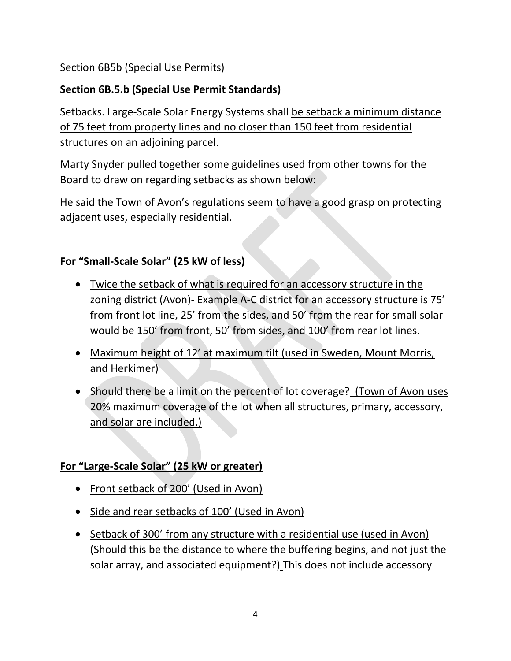Section 6B5b (Special Use Permits)

## **Section 6B.5.b (Special Use Permit Standards)**

Setbacks. Large-Scale Solar Energy Systems shall be setback a minimum distance of 75 feet from property lines and no closer than 150 feet from residential structures on an adjoining parcel.

Marty Snyder pulled together some guidelines used from other towns for the Board to draw on regarding setbacks as shown below:

He said the Town of Avon's regulations seem to have a good grasp on protecting adjacent uses, especially residential.

#### **For "Small-Scale Solar" (25 kW of less)**

- Twice the setback of what is required for an accessory structure in the zoning district (Avon)- Example A-C district for an accessory structure is 75' from front lot line, 25' from the sides, and 50' from the rear for small solar would be 150' from front, 50' from sides, and 100' from rear lot lines.
- Maximum height of 12' at maximum tilt (used in Sweden, Mount Morris, and Herkimer)
- Should there be a limit on the percent of lot coverage? (Town of Avon uses 20% maximum coverage of the lot when all structures, primary, accessory, and solar are included.)

## **For "Large-Scale Solar" (25 kW or greater)**

- Front setback of 200' (Used in Avon)
- Side and rear setbacks of 100' (Used in Avon)
- Setback of 300' from any structure with a residential use (used in Avon) (Should this be the distance to where the buffering begins, and not just the solar array, and associated equipment?) This does not include accessory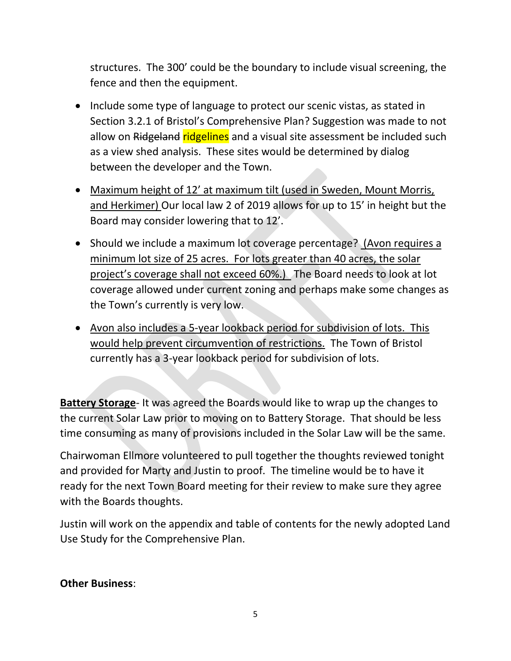structures. The 300' could be the boundary to include visual screening, the fence and then the equipment.

- Include some type of language to protect our scenic vistas, as stated in Section 3.2.1 of Bristol's Comprehensive Plan? Suggestion was made to not allow on Ridgeland ridgelines and a visual site assessment be included such as a view shed analysis. These sites would be determined by dialog between the developer and the Town.
- Maximum height of 12' at maximum tilt (used in Sweden, Mount Morris, and Herkimer) Our local law 2 of 2019 allows for up to 15' in height but the Board may consider lowering that to 12'.
- Should we include a maximum lot coverage percentage? (Avon requires a minimum lot size of 25 acres. For lots greater than 40 acres, the solar project's coverage shall not exceed 60%.) The Board needs to look at lot coverage allowed under current zoning and perhaps make some changes as the Town's currently is very low.
- Avon also includes a 5-year lookback period for subdivision of lots. This would help prevent circumvention of restrictions. The Town of Bristol currently has a 3-year lookback period for subdivision of lots.

**Battery Storage**- It was agreed the Boards would like to wrap up the changes to the current Solar Law prior to moving on to Battery Storage. That should be less time consuming as many of provisions included in the Solar Law will be the same.

Chairwoman Ellmore volunteered to pull together the thoughts reviewed tonight and provided for Marty and Justin to proof. The timeline would be to have it ready for the next Town Board meeting for their review to make sure they agree with the Boards thoughts.

Justin will work on the appendix and table of contents for the newly adopted Land Use Study for the Comprehensive Plan.

#### **Other Business**: